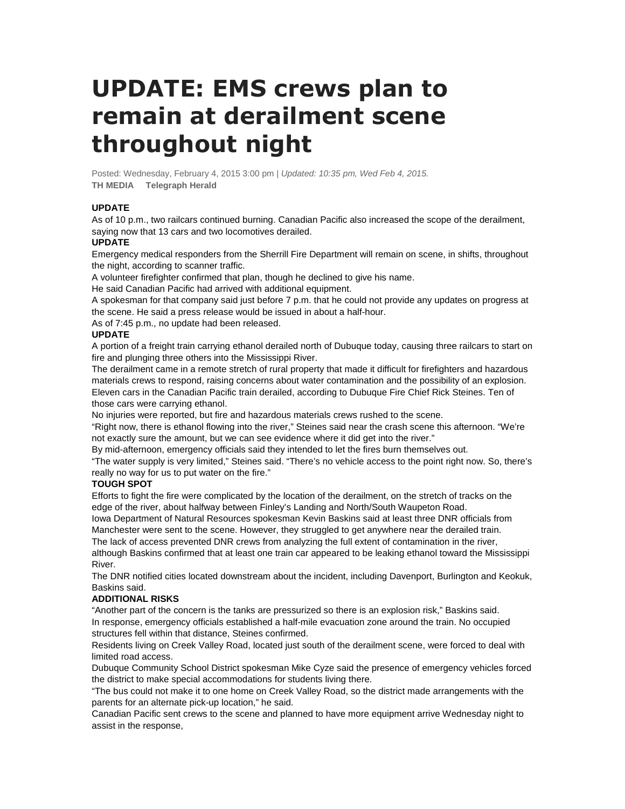# **UPDATE: EMS crews plan to remain at derailment scene throughout night**

Posted: Wednesday, February 4, 2015 3:00 pm | Updated: 10:35 pm, Wed Feb 4, 2015. **TH MEDIA Telegraph Herald** 

# **UPDATE**

As of 10 p.m., two railcars continued burning. Canadian Pacific also increased the scope of the derailment, saying now that 13 cars and two locomotives derailed.

## **UPDATE**

Emergency medical responders from the Sherrill Fire Department will remain on scene, in shifts, throughout the night, according to scanner traffic.

A volunteer firefighter confirmed that plan, though he declined to give his name.

He said Canadian Pacific had arrived with additional equipment.

A spokesman for that company said just before 7 p.m. that he could not provide any updates on progress at the scene. He said a press release would be issued in about a half-hour.

As of 7:45 p.m., no update had been released.

#### **UPDATE**

A portion of a freight train carrying ethanol derailed north of Dubuque today, causing three railcars to start on fire and plunging three others into the Mississippi River.

The derailment came in a remote stretch of rural property that made it difficult for firefighters and hazardous materials crews to respond, raising concerns about water contamination and the possibility of an explosion. Eleven cars in the Canadian Pacific train derailed, according to Dubuque Fire Chief Rick Steines. Ten of those cars were carrying ethanol.

No injuries were reported, but fire and hazardous materials crews rushed to the scene.

"Right now, there is ethanol flowing into the river," Steines said near the crash scene this afternoon. "We're not exactly sure the amount, but we can see evidence where it did get into the river."

By mid-afternoon, emergency officials said they intended to let the fires burn themselves out.

"The water supply is very limited," Steines said. "There's no vehicle access to the point right now. So, there's really no way for us to put water on the fire."

## **TOUGH SPOT**

Efforts to fight the fire were complicated by the location of the derailment, on the stretch of tracks on the edge of the river, about halfway between Finley's Landing and North/South Waupeton Road.

Iowa Department of Natural Resources spokesman Kevin Baskins said at least three DNR officials from Manchester were sent to the scene. However, they struggled to get anywhere near the derailed train. The lack of access prevented DNR crews from analyzing the full extent of contamination in the river,

although Baskins confirmed that at least one train car appeared to be leaking ethanol toward the Mississippi River.

The DNR notified cities located downstream about the incident, including Davenport, Burlington and Keokuk, Baskins said.

## **ADDITIONAL RISKS**

"Another part of the concern is the tanks are pressurized so there is an explosion risk," Baskins said. In response, emergency officials established a half-mile evacuation zone around the train. No occupied structures fell within that distance, Steines confirmed.

Residents living on Creek Valley Road, located just south of the derailment scene, were forced to deal with limited road access.

Dubuque Community School District spokesman Mike Cyze said the presence of emergency vehicles forced the district to make special accommodations for students living there.

"The bus could not make it to one home on Creek Valley Road, so the district made arrangements with the parents for an alternate pick-up location," he said.

Canadian Pacific sent crews to the scene and planned to have more equipment arrive Wednesday night to assist in the response,